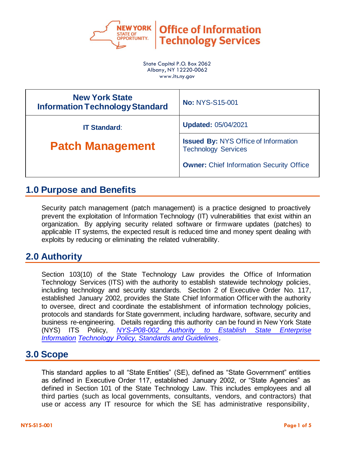

**Office of Information Technology Services** 

State Capitol P.O. Box 2062 Albany, NY 12220-0062 www.its.ny.gov

| <b>New York State</b><br><b>Information Technology Standard</b> | <b>No: NYS-S15-001</b>                                                    |  |
|-----------------------------------------------------------------|---------------------------------------------------------------------------|--|
| <b>IT Standard:</b>                                             | <b>Updated: 05/04/2021</b>                                                |  |
| <b>Patch Management</b>                                         | <b>Issued By: NYS Office of Information</b><br><b>Technology Services</b> |  |
|                                                                 | <b>Owner:</b> Chief Information Security Office                           |  |

### **1.0 Purpose and Benefits**

Security patch management (patch management) is a practice designed to proactively prevent the exploitation of Information Technology (IT) vulnerabilities that exist within an organization. By applying security related software or firmware updates (patches) to applicable IT systems, the expected result is reduced time and money spent dealing with exploits by reducing or eliminating the related vulnerability.

## **2.0 Authority**

Section 103(10) of the State Technology Law provides the Office of Information Technology Services (ITS) with the authority to establish statewide technology policies, including technology and security standards. Section 2 of Executive Order No. 117, established January 2002, provides the State Chief Information Officer with the authority to oversee, direct and coordinate the establishment of information technology policies, protocols and standards for State government, including hardware, software, security and business re-engineering. Details regarding this authority can be found in New York State (NYS) ITS Policy, *[NYS-P08-002 Authority to Establish State Enterprise](https://its.ny.gov/document/authority-establish-state-enterprise-information-technology-it-policy-standards-and-guidelines)  [Information Technology Policy, Standards and Gu](https://its.ny.gov/document/authority-establish-state-enterprise-information-technology-it-policy-standards-and-guidelines)idelines*.

# **3.0 Scope**

This standard applies to all "State Entities" (SE), defined as "State Government" entities as defined in Executive Order 117, established January 2002, or "State Agencies" as defined in Section 101 of the State Technology Law. This includes employees and all third parties (such as local governments, consultants, vendors, and contractors) that use or access any IT resource for which the SE has administrative responsibility,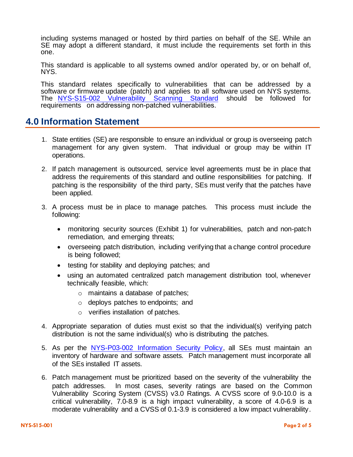including systems managed or hosted by third parties on behalf of the SE. While an SE may adopt a different standard, it must include the requirements set forth in this one.

This standard is applicable to all systems owned and/or operated by, or on behalf of, NYS.

This standard relates specifically to vulnerabilities that can be addressed by a software or firmware update (patch) and applies to all software used on NYS sy[stems.](https://its.ny.gov/document/vulnerability-scanning)  The NYS-S15-002 [Vulnerability Scannin](https://its.ny.gov/document/vulnerability-scanning)g Standard should be followed for requirements on addressing non-patched vulnerabilities.

#### **4.0 Information Statement**

- 1. State entities (SE) are responsible to ensure an individual or group is overseeing patch management for any given system. That individual or group may be within IT operations.
- 2. If patch management is outsourced, service level agreements must be in place that address the requirements of this standard and outline responsibilities for patching. If patching is the responsibility of the third party, SEs must verify that the patches have been applied.
- 3. A process must be in place to manage patches. This process must include the following:
	- monitoring security sources (Exhibit 1) for vulnerabilities, patch and non-patch remediation, and emerging threats;
	- overseeing patch distribution, including verifying that a change control procedure is being followed;
	- testing for stability and deploying patches; and
	- using an automated centralized patch management distribution tool, whenever technically feasible, which:
		- o maintains a database of patches;
		- o deploys patches to endpoints; and
		- o verifies installation of patches.
- 4. Appropriate separation of duties must exist so that the individual(s) verifying patch distribution is not the same individual(s) who is distributing the patches.
- 5. As per the NYS-P03-002 [Information Security Policy,](https://its.ny.gov/document/information-security-policy) all SEs must maintain an inventory of hardware and software assets. Patch management must incorporate all of the SEs installed IT assets.
- 6. Patch management must be prioritized based on the severity of the vulnerability the patch addresses. In most cases, severity ratings are based on the Common Vulnerability Scoring System (CVSS) v3.0 Ratings. A CVSS score of 9.0-10.0 is a critical vulnerability, 7.0-8.9 is a high impact vulnerability, a score of 4.0-6.9 is a moderate vulnerability and a CVSS of 0.1-3.9 is considered a low impact vulnerability.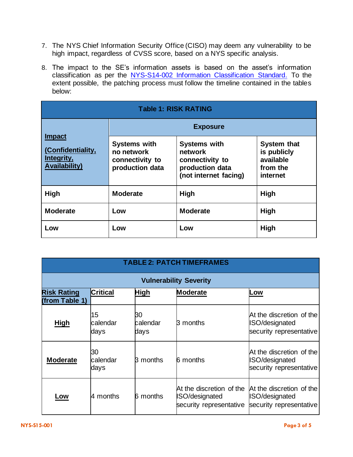- 7. The NYS Chief Information Security Office (CISO) may deem any vulnerability to be high impact, regardless of CVSS score, based on a NYS specific analysis.
- 8. The impact to the SE's information assets is based on the asset's information classification as per the NYS-S14-002 [Information Classification Standard.](https://its.ny.gov/document/information-classification-standard) To the extent possible, the patching process must follow the timeline contained in the tables below:

| <b>Table 1: RISK RATING</b>                                              |                                                                         |                                                                                               |                                                                        |  |
|--------------------------------------------------------------------------|-------------------------------------------------------------------------|-----------------------------------------------------------------------------------------------|------------------------------------------------------------------------|--|
| <b>Impact</b><br>(Confidentiality,<br>Integrity,<br><b>Availability)</b> | <b>Exposure</b>                                                         |                                                                                               |                                                                        |  |
|                                                                          | <b>Systems with</b><br>no network<br>connectivity to<br>production data | <b>Systems with</b><br>network<br>connectivity to<br>production data<br>(not internet facing) | <b>System that</b><br>is publicly<br>available<br>from the<br>internet |  |
| <b>High</b>                                                              | <b>Moderate</b>                                                         | <b>High</b>                                                                                   | <b>High</b>                                                            |  |
| <b>Moderate</b>                                                          | Low                                                                     | <b>Moderate</b>                                                                               | High                                                                   |  |
| Low                                                                      | Low                                                                     | Low                                                                                           | High                                                                   |  |

| <b>TABLE 2: PATCH TIMEFRAMES</b>     |                        |                        |                                                                      |                                                                       |
|--------------------------------------|------------------------|------------------------|----------------------------------------------------------------------|-----------------------------------------------------------------------|
| <b>Vulnerability Severity</b>        |                        |                        |                                                                      |                                                                       |
| <b>Risk Rating</b><br>(from Table 1) | <b>Critical</b>        | <b>High</b>            | <b>Moderate</b>                                                      | Low                                                                   |
| <b>High</b>                          | 15<br>calendar<br>days | 30<br>calendar<br>days | 3 months                                                             | At the discretion of the<br>ISO/designated<br>security representative |
| <b>Moderate</b>                      | 30<br>calendar<br>days | R.<br>months           | 6 months                                                             | At the discretion of the<br>ISO/designated<br>security representative |
| Low                                  | 4 months               | 6 months               | At the discretion of the<br>SO/designated<br>security representative | At the discretion of the<br>ISO/designated<br>security representative |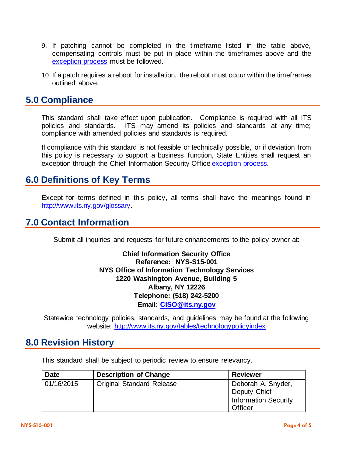- 9. If patching cannot be completed in the timeframe listed in the table above, compensating controls must be put in place within the timeframes above and the [exception process](http://www.its.ny.gov/tables/technologypolicyindex.htm/security) must be followed.
- 10. If a patch requires a reboot for installation, the reboot must occur within the timeframes outlined above.

#### **5.0 Compliance**

This standard shall take effect upon publication. Compliance is required with all ITS policies and standards. ITS may amend its policies and standards at any time; compliance with amended policies and standards is required.

If compliance with this standard is not feasible or technically possible, or if deviation from this policy is necessary to support a business function, State Entities shall request an exception through the Chief Information Security Offic[e exception process.](http://www.its.ny.gov/document/information-security-exception-policy)

## **6.0 Definitions of Key Terms**

Except for terms defined in this policy, all terms shall have the meanings found in [http://www.its.ny.gov/glossary.](http://www.its.ny.gov/glossary)

## **7.0 Contact Information**

Submit all inquiries and requests for future enhancements to the policy owner at:

**Chief Information Security Office Reference: NYS-S15-001 NYS Office of Information Technology Services 1220 Washington Avenue, Building 5 Albany, NY 12226 Telephone: (518) 242-5200 Email: [CISO@its.ny.gov](mailto:CISO@its.ny.gov)**

Statewide technology policies, standards, and guidelines may be found at the following website: <http://www.its.ny.gov/tables/technologypolicyindex>

#### **8.0 Revision History**

This standard shall be subject to periodic review to ensure relevancy.

| <b>Date</b> | <b>Description of Change</b>     | <b>Reviewer</b>                                                              |
|-------------|----------------------------------|------------------------------------------------------------------------------|
| 01/16/2015  | <b>Original Standard Release</b> | Deborah A. Snyder,<br>Deputy Chief<br><b>Information Security</b><br>Officer |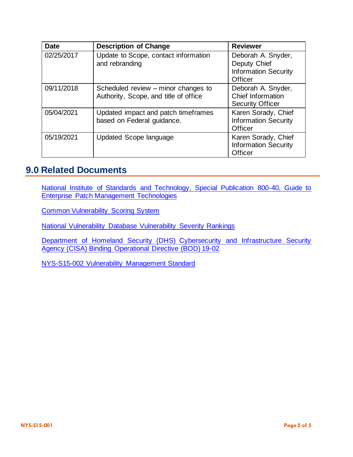| <b>Date</b> | <b>Description of Change</b>                                                 | <b>Reviewer</b>                                                              |
|-------------|------------------------------------------------------------------------------|------------------------------------------------------------------------------|
| 02/25/2017  | Update to Scope, contact information<br>and rebranding                       | Deborah A. Snyder,<br>Deputy Chief<br><b>Information Security</b><br>Officer |
| 09/11/2018  | Scheduled review – minor changes to<br>Authority, Scope, and title of office | Deborah A. Snyder,<br>Chief Information<br><b>Security Officer</b>           |
| 05/04/2021  | Updated impact and patch timeframes<br>based on Federal guidance.            | Karen Sorady, Chief<br><b>Information Security</b><br>Officer                |
| 05/19/2021  | Updated Scope language                                                       | Karen Sorady, Chief<br><b>Information Security</b><br>Officer                |

## **9.0 Related Documents**

[National Institute of Standards and Technology, Special Publication 800-40, Guide to](http://csrc.nist.gov/publications/PubsSPs.html)  [Enterprise Patch Management Technologies](http://csrc.nist.gov/publications/PubsSPs.html)

[Common Vulnerability Scoring System](http://www.first.org/cvss)

[National Vulnerability Database Vulnerability Severity Rankings](http://nvd.nist.gov/cvss.cfm)

Department [of Homeland Security \(DHS\) Cybersecurity and Infrastructure Security](https://cyber.dhs.gov/bod/19-02/)  [Agency \(CISA\) Binding Operational Directive \(BOD\) 19-02](https://cyber.dhs.gov/bod/19-02/)

[NYS-S15-002 Vulnerability Management Standard](https://its.ny.gov/document/vulnerability-scanning)